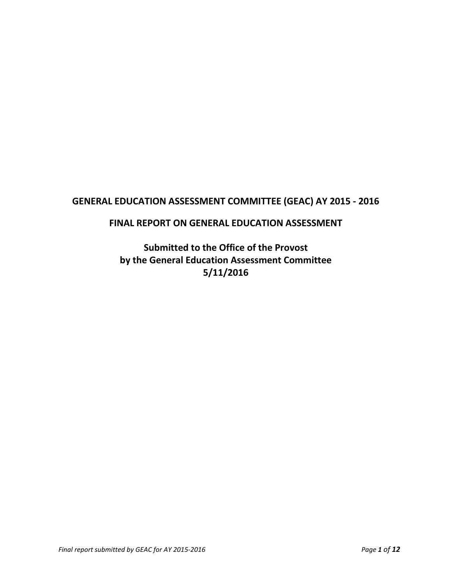# **GENERAL EDUCATION ASSESSMENT COMMITTEE (GEAC) AY 2015 - 2016**

# **FINAL REPORT ON GENERAL EDUCATION ASSESSMENT**

**Submitted to the Office of the Provost by the General Education Assessment Committee 5/11/2016**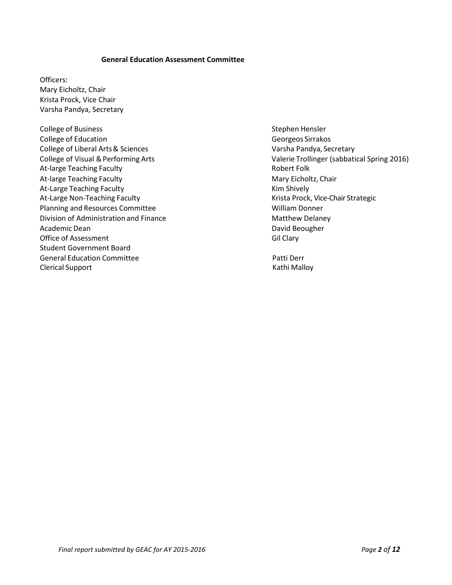#### **General Education Assessment Committee**

Officers: Mary Eicholtz, Chair Krista Prock, Vice Chair Varsha Pandya, Secretary

College of Business Stephen Hensler College of Education College of Education College of Education College of Education College of Education College and College and College and College and College and College and College and College and College and College a College of Liberal Arts & Sciences Varsha Pandya, Secretary At-large Teaching Faculty **Robert Folk** Robert Folk At-large Teaching Faculty Mary Eicholtz, Chair At-Large Teaching Faculty **Kim Shively** Kim Shively At-Large Non-Teaching Faculty **Krista Prock, Vice-Chair Strategic** Krista Prock, Vice-Chair Strategic Planning and Resources Committee **William Donner** William Donner Division of Administration and Finance **Matthew Delaney** Matthew Delaney Academic Dean **David Beougher David Beougher David Beougher** Office of Assessment Gil Clary Student Government Board General Education Committee **Accord Committee Committee Accord Committee Accord Committee Accord Committee Accord Committee Accord Committee Accord Committee Accord Committee Accord Committee Accord Committee Accord Commit** Clerical Support **Kathi Malloy** Clerical Support

College of Visual & Performing Arts **Valerie Trollinger (sabbatical Spring 2016**)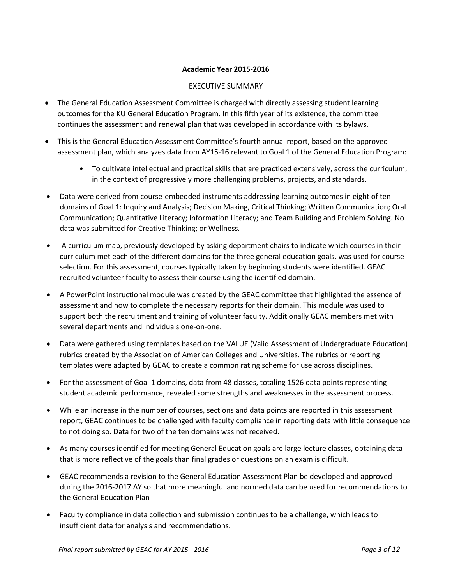### **Academic Year 2015-2016**

## EXECUTIVE SUMMARY

- The General Education Assessment Committee is charged with directly assessing student learning outcomes for the KU General Education Program. In this fifth year of its existence, the committee continues the assessment and renewal plan that was developed in accordance with its bylaws.
- This is the General Education Assessment Committee's fourth annual report, based on the approved assessment plan, which analyzes data from AY15-16 relevant to Goal 1 of the General Education Program:
	- To cultivate intellectual and practical skills that are practiced extensively, across the curriculum, in the context of progressively more challenging problems, projects, and standards.
- Data were derived from course-embedded instruments addressing learning outcomes in eight of ten domains of Goal 1: Inquiry and Analysis; Decision Making, Critical Thinking; Written Communication; Oral Communication; Quantitative Literacy; Information Literacy; and Team Building and Problem Solving. No data was submitted for Creative Thinking; or Wellness.
- A curriculum map, previously developed by asking department chairs to indicate which courses in their curriculum met each of the different domains for the three general education goals, was used for course selection. For this assessment, courses typically taken by beginning students were identified. GEAC recruited volunteer faculty to assess their course using the identified domain.
- A PowerPoint instructional module was created by the GEAC committee that highlighted the essence of assessment and how to complete the necessary reports for their domain. This module was used to support both the recruitment and training of volunteer faculty. Additionally GEAC members met with several departments and individuals one-on-one.
- Data were gathered using templates based on the VALUE (Valid Assessment of Undergraduate Education) rubrics created by the Association of American Colleges and Universities. The rubrics or reporting templates were adapted by GEAC to create a common rating scheme for use across disciplines.
- For the assessment of Goal 1 domains, data from 48 classes, totaling 1526 data points representing student academic performance, revealed some strengths and weaknesses in the assessment process.
- While an increase in the number of courses, sections and data points are reported in this assessment report, GEAC continues to be challenged with faculty compliance in reporting data with little consequence to not doing so. Data for two of the ten domains was not received.
- As many courses identified for meeting General Education goals are large lecture classes, obtaining data that is more reflective of the goals than final grades or questions on an exam is difficult.
- GEAC recommends a revision to the General Education Assessment Plan be developed and approved during the 2016-2017 AY so that more meaningful and normed data can be used for recommendations to the General Education Plan
- Faculty compliance in data collection and submission continues to be a challenge, which leads to insufficient data for analysis and recommendations.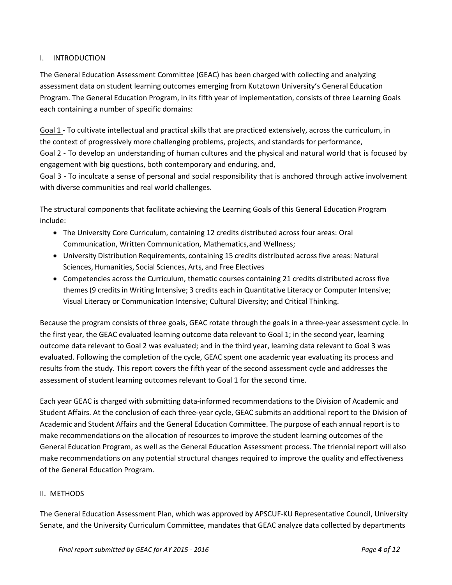# I. INTRODUCTION

The General Education Assessment Committee (GEAC) has been charged with collecting and analyzing assessment data on student learning outcomes emerging from Kutztown University's General Education Program. The General Education Program, in its fifth year of implementation, consists of three Learning Goals each containing a number of specific domains:

Goal 1 - To cultivate intellectual and practical skills that are practiced extensively, across the curriculum, in the context of progressively more challenging problems, projects, and standards for performance, Goal 2 - To develop an understanding of human cultures and the physical and natural world that is focused by engagement with big questions, both contemporary and enduring, and,

Goal 3 - To inculcate a sense of personal and social responsibility that is anchored through active involvement with diverse communities and real world challenges.

The structural components that facilitate achieving the Learning Goals of this General Education Program include:

- The University Core Curriculum, containing 12 credits distributed across four areas: Oral Communication, Written Communication, Mathematics,and Wellness;
- University Distribution Requirements, containing 15 credits distributed across five areas: Natural Sciences, Humanities, Social Sciences, Arts, and Free Electives
- Competencies across the Curriculum, thematic courses containing 21 credits distributed across five themes(9 credits in Writing Intensive; 3 credits each in Quantitative Literacy or Computer Intensive; Visual Literacy or Communication Intensive; Cultural Diversity; and Critical Thinking.

Because the program consists of three goals, GEAC rotate through the goals in a three-year assessment cycle. In the first year, the GEAC evaluated learning outcome data relevant to Goal 1; in the second year, learning outcome data relevant to Goal 2 was evaluated; and in the third year, learning data relevant to Goal 3 was evaluated. Following the completion of the cycle, GEAC spent one academic year evaluating its process and results from the study. This report covers the fifth year of the second assessment cycle and addresses the assessment of student learning outcomes relevant to Goal 1 for the second time.

Each year GEAC is charged with submitting data-informed recommendations to the Division of Academic and Student Affairs. At the conclusion of each three-year cycle, GEAC submits an additional report to the Division of Academic and Student Affairs and the General Education Committee. The purpose of each annual report is to make recommendations on the allocation of resources to improve the student learning outcomes of the General Education Program, as well as the General Education Assessment process. The triennial report will also make recommendations on any potential structural changes required to improve the quality and effectiveness of the General Education Program.

### II. METHODS

The General Education Assessment Plan, which was approved by APSCUF-KU Representative Council, University Senate, and the University Curriculum Committee, mandates that GEAC analyze data collected by departments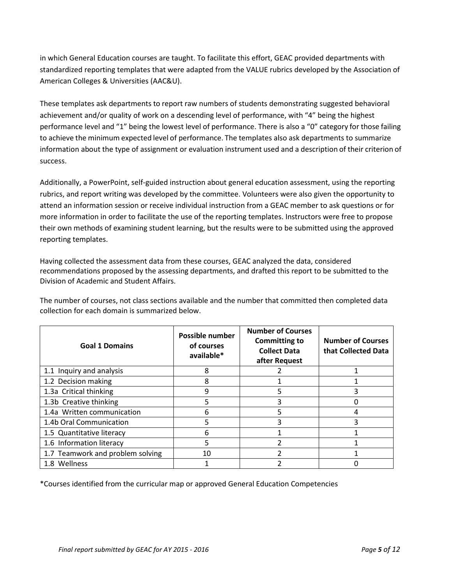in which General Education courses are taught. To facilitate this effort, GEAC provided departments with standardized reporting templates that were adapted from the VALUE rubrics developed by the Association of American Colleges & Universities (AAC&U).

These templates ask departments to report raw numbers of students demonstrating suggested behavioral achievement and/or quality of work on a descending level of performance, with "4" being the highest performance level and "1" being the lowest level of performance. There is also a "0" category for those failing to achieve the minimum expected level of performance. The templates also ask departments to summarize information about the type of assignment or evaluation instrument used and a description of their criterion of success.

Additionally, a PowerPoint, self-guided instruction about general education assessment, using the reporting rubrics, and report writing was developed by the committee. Volunteers were also given the opportunity to attend an information session or receive individual instruction from a GEAC member to ask questions or for more information in order to facilitate the use of the reporting templates. Instructors were free to propose their own methods of examining student learning, but the results were to be submitted using the approved reporting templates.

Having collected the assessment data from these courses, GEAC analyzed the data, considered recommendations proposed by the assessing departments, and drafted this report to be submitted to the Division of Academic and Student Affairs.

The number of courses, not class sections available and the number that committed then completed data collection for each domain is summarized below.

| <b>Goal 1 Domains</b>            | <b>Possible number</b><br>of courses<br>available* | <b>Number of Courses</b><br><b>Committing to</b><br><b>Collect Data</b><br>after Request | <b>Number of Courses</b><br>that Collected Data |
|----------------------------------|----------------------------------------------------|------------------------------------------------------------------------------------------|-------------------------------------------------|
| 1.1 Inquiry and analysis         | 8                                                  |                                                                                          |                                                 |
| 1.2 Decision making              | 8                                                  |                                                                                          |                                                 |
| 1.3a Critical thinking           | q                                                  | 5                                                                                        |                                                 |
| 1.3b Creative thinking           | 5                                                  | 3                                                                                        |                                                 |
| 1.4a Written communication       | 6                                                  | 5                                                                                        |                                                 |
| 1.4b Oral Communication          | 5                                                  | 3                                                                                        |                                                 |
| 1.5 Quantitative literacy        | 6                                                  |                                                                                          |                                                 |
| 1.6 Information literacy         | 5                                                  |                                                                                          |                                                 |
| 1.7 Teamwork and problem solving | 10                                                 | っ                                                                                        |                                                 |
| 1.8 Wellness                     |                                                    |                                                                                          |                                                 |

\*Courses identified from the curricular map or approved General Education Competencies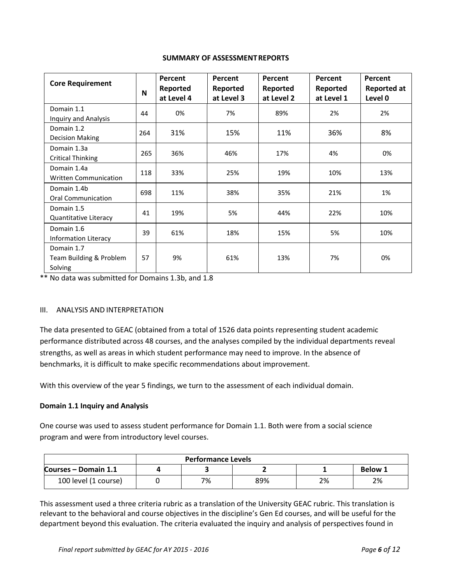#### **SUMMARY OF ASSESSMENTREPORTS**

| <b>Core Requirement</b>                          | N   | Percent<br>Reported<br>at Level 4 | Percent<br>Reported<br>at Level 3 | Percent<br>Reported<br>at Level 2 | Percent<br>Reported<br>at Level 1 | Percent<br><b>Reported at</b><br>Level 0 |
|--------------------------------------------------|-----|-----------------------------------|-----------------------------------|-----------------------------------|-----------------------------------|------------------------------------------|
| Domain 1.1<br><b>Inquiry and Analysis</b>        | 44  | 0%                                | 7%                                | 89%                               | 2%                                | 2%                                       |
| Domain 1.2<br><b>Decision Making</b>             | 264 | 31%                               | 15%                               | 11%                               | 36%                               | 8%                                       |
| Domain 1.3a<br><b>Critical Thinking</b>          | 265 | 36%                               | 46%                               | 17%                               | 4%                                | 0%                                       |
| Domain 1.4a<br>Written Communication             | 118 | 33%                               | 25%                               | 19%                               | 10%                               | 13%                                      |
| Domain 1.4b<br><b>Oral Communication</b>         | 698 | 11%                               | 38%                               | 35%                               | 21%                               | 1%                                       |
| Domain 1.5<br>Quantitative Literacy              | 41  | 19%                               | 5%                                | 44%                               | 22%                               | 10%                                      |
| Domain 1.6<br><b>Information Literacy</b>        | 39  | 61%                               | 18%                               | 15%                               | 5%                                | 10%                                      |
| Domain 1.7<br>Team Building & Problem<br>Solving | 57  | 9%                                | 61%                               | 13%                               | 7%                                | 0%                                       |

\*\* No data was submitted for Domains 1.3b, and 1.8

### III. ANALYSIS AND INTERPRETATION

The data presented to GEAC (obtained from a total of 1526 data points representing student academic performance distributed across 48 courses, and the analyses compiled by the individual departments reveal strengths, as well as areas in which student performance may need to improve. In the absence of benchmarks, it is difficult to make specific recommendations about improvement.

With this overview of the year 5 findings, we turn to the assessment of each individual domain.

### **Domain 1.1 Inquiry and Analysis**

One course was used to assess student performance for Domain 1.1. Both were from a social science program and were from introductory level courses.

|                      | <b>Performance Levels</b> |    |     |    |    |  |  |  |  |
|----------------------|---------------------------|----|-----|----|----|--|--|--|--|
| Courses – Domain 1.1 | <b>Below 1</b>            |    |     |    |    |  |  |  |  |
| 100 level (1 course) |                           | 7% | 89% | 2% | 2% |  |  |  |  |

This assessment used a three criteria rubric as a translation of the University GEAC rubric. This translation is relevant to the behavioral and course objectives in the discipline's Gen Ed courses, and will be useful for the department beyond this evaluation. The criteria evaluated the inquiry and analysis of perspectives found in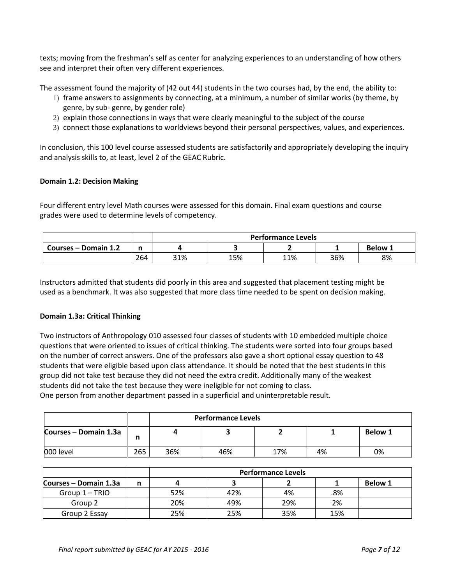texts; moving from the freshman's self as center for analyzing experiences to an understanding of how others see and interpret their often very different experiences.

The assessment found the majority of (42 out 44) students in the two courses had, by the end, the ability to:

- 1) frame answers to assignments by connecting, at a minimum, a number of similar works (by theme, by genre, by sub- genre, by gender role)
- 2) explain those connections in ways that were clearly meaningful to the subject of the course
- 3) connect those explanations to worldviews beyond their personal perspectives, values, and experiences.

In conclusion, this 100 level course assessed students are satisfactorily and appropriately developing the inquiry and analysis skills to, at least, level 2 of the GEAC Rubric.

### **Domain 1.2: Decision Making**

Four different entry level Math courses were assessed for this domain. Final exam questions and course grades were used to determine levels of competency.

|                      |     |     | <b>Performance Levels</b> |     |     |    |  |  |  |
|----------------------|-----|-----|---------------------------|-----|-----|----|--|--|--|
| Courses – Domain 1.2 |     |     | <b>Below 1</b>            |     |     |    |  |  |  |
|                      | 264 | 31% | 15%                       | 11% | 36% | 8% |  |  |  |

Instructors admitted that students did poorly in this area and suggested that placement testing might be used as a benchmark. It was also suggested that more class time needed to be spent on decision making.

#### **Domain 1.3a: Critical Thinking**

Two instructors of Anthropology 010 assessed four classes of students with 10 embedded multiple choice questions that were oriented to issues of critical thinking. The students were sorted into four groups based on the number of correct answers. One of the professors also gave a short optional essay question to 48 students that were eligible based upon class attendance. It should be noted that the best students in this group did not take test because they did not need the extra credit. Additionally many of the weakest students did not take the test because they were ineligible for not coming to class. One person from another department passed in a superficial and uninterpretable result.

|                       | <b>Performance Levels</b> |                               |  |  |  |  |  |  |  |
|-----------------------|---------------------------|-------------------------------|--|--|--|--|--|--|--|
| Courses - Domain 1.3a | n                         | <b>Below 1</b>                |  |  |  |  |  |  |  |
| 000 level             | 265                       | 17%<br>36%<br>0%<br>4%<br>46% |  |  |  |  |  |  |  |

|                       | <b>Performance Levels</b> |     |     |     |     |                |  |  |
|-----------------------|---------------------------|-----|-----|-----|-----|----------------|--|--|
| Courses – Domain 1.3a |                           |     |     |     |     | <b>Below 1</b> |  |  |
| Group 1 – TRIO        |                           | 52% | 42% | 4%  | .8% |                |  |  |
| Group 2               |                           | 20% | 49% | 29% | 2%  |                |  |  |
| Group 2 Essay         |                           | 25% | 25% | 35% | 15% |                |  |  |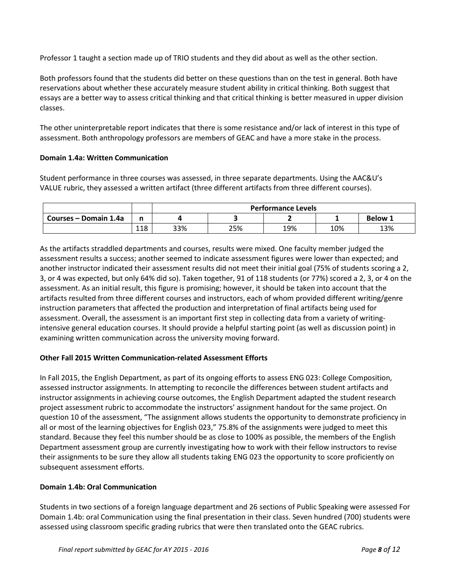Professor 1 taught a section made up of TRIO students and they did about as well as the other section.

Both professors found that the students did better on these questions than on the test in general. Both have reservations about whether these accurately measure student ability in critical thinking. Both suggest that essays are a better way to assess critical thinking and that critical thinking is better measured in upper division classes.

The other uninterpretable report indicates that there is some resistance and/or lack of interest in this type of assessment. Both anthropology professors are members of GEAC and have a more stake in the process.

### **Domain 1.4a: Written Communication**

Student performance in three courses was assessed, in three separate departments. Using the AAC&U's VALUE rubric, they assessed a written artifact (three different artifacts from three different courses).

|                       |            |     | <b>Performance Levels</b> |     |     |     |  |  |  |
|-----------------------|------------|-----|---------------------------|-----|-----|-----|--|--|--|
| Courses – Domain 1.4a |            |     | <b>Below 1</b>            |     |     |     |  |  |  |
|                       | 110<br>⊥⊥○ | 33% | 25%                       | 19% | 10% | 13% |  |  |  |

As the artifacts straddled departments and courses, results were mixed. One faculty member judged the assessment results a success; another seemed to indicate assessment figures were lower than expected; and another instructor indicated their assessment results did not meet their initial goal (75% of students scoring a 2, 3, or 4 was expected, but only 64% did so). Taken together, 91 of 118 students (or 77%) scored a 2, 3, or 4 on the assessment. As an initial result, this figure is promising; however, it should be taken into account that the artifacts resulted from three different courses and instructors, each of whom provided different writing/genre instruction parameters that affected the production and interpretation of final artifacts being used for assessment. Overall, the assessment is an important first step in collecting data from a variety of writingintensive general education courses. It should provide a helpful starting point (as well as discussion point) in examining written communication across the university moving forward.

### **Other Fall 2015 Written Communication-related Assessment Efforts**

In Fall 2015, the English Department, as part of its ongoing efforts to assess ENG 023: College Composition, assessed instructor assignments. In attempting to reconcile the differences between student artifacts and instructor assignments in achieving course outcomes, the English Department adapted the student research project assessment rubric to accommodate the instructors' assignment handout for the same project. On question 10 of the assessment, "The assignment allows students the opportunity to demonstrate proficiency in all or most of the learning objectives for English 023," 75.8% of the assignments were judged to meet this standard. Because they feel this number should be as close to 100% as possible, the members of the English Department assessment group are currently investigating how to work with their fellow instructors to revise their assignments to be sure they allow all students taking ENG 023 the opportunity to score proficiently on subsequent assessment efforts.

### **Domain 1.4b: Oral Communication**

Students in two sections of a foreign language department and 26 sections of Public Speaking were assessed For Domain 1.4b: oral Communication using the final presentation in their class. Seven hundred (700) students were assessed using classroom specific grading rubrics that were then translated onto the GEAC rubrics.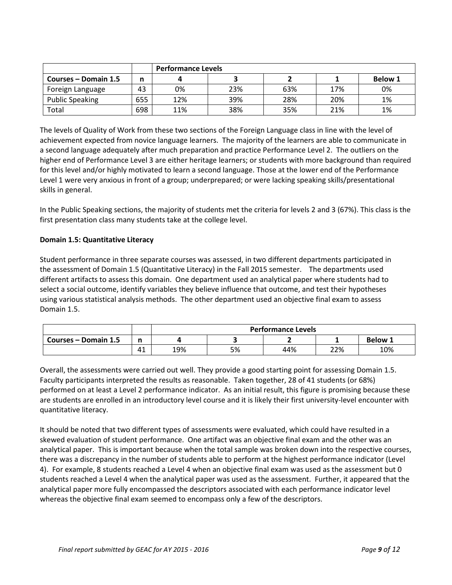|                        |     |     | <b>Performance Levels</b> |     |     |                |  |  |  |
|------------------------|-----|-----|---------------------------|-----|-----|----------------|--|--|--|
| Courses – Domain 1.5   |     |     |                           |     |     | <b>Below 1</b> |  |  |  |
| Foreign Language       | 43  | 0%  | 23%                       | 63% | 17% | 0%             |  |  |  |
| <b>Public Speaking</b> | 655 | 12% | 39%                       | 28% | 20% | 1%             |  |  |  |
| Total                  | 698 | 11% | 38%                       | 35% | 21% | 1%             |  |  |  |

The levels of Quality of Work from these two sections of the Foreign Language class in line with the level of achievement expected from novice language learners. The majority of the learners are able to communicate in a second language adequately after much preparation and practice Performance Level 2. The outliers on the higher end of Performance Level 3 are either heritage learners; or students with more background than required for this level and/or highly motivated to learn a second language. Those at the lower end of the Performance Level 1 were very anxious in front of a group; underprepared; or were lacking speaking skills/presentational skills in general.

In the Public Speaking sections, the majority of students met the criteria for levels 2 and 3 (67%). This class is the first presentation class many students take at the college level.

# **Domain 1.5: Quantitative Literacy**

Student performance in three separate courses was assessed, in two different departments participated in the assessment of Domain 1.5 (Quantitative Literacy) in the Fall 2015 semester. The departments used different artifacts to assess this domain. One department used an analytical paper where students had to select a social outcome, identify variables they believe influence that outcome, and test their hypotheses using various statistical analysis methods. The other department used an objective final exam to assess Domain 1.5.

|                      |     |     | <b>Performance Levels</b> |     |     |     |  |  |
|----------------------|-----|-----|---------------------------|-----|-----|-----|--|--|
| Courses – Domain 1.5 |     |     | <b>Below 1</b>            |     |     |     |  |  |
|                      | —4⊥ | 19% | 5%                        | 44% | 22% | 10% |  |  |

Overall, the assessments were carried out well. They provide a good starting point for assessing Domain 1.5. Faculty participants interpreted the results as reasonable. Taken together, 28 of 41 students (or 68%) performed on at least a Level 2 performance indicator. As an initial result, this figure is promising because these are students are enrolled in an introductory level course and it is likely their first university-level encounter with quantitative literacy.

It should be noted that two different types of assessments were evaluated, which could have resulted in a skewed evaluation of student performance. One artifact was an objective final exam and the other was an analytical paper. This is important because when the total sample was broken down into the respective courses, there was a discrepancy in the number of students able to perform at the highest performance indicator (Level 4). For example, 8 students reached a Level 4 when an objective final exam was used as the assessment but 0 students reached a Level 4 when the analytical paper was used as the assessment. Further, it appeared that the analytical paper more fully encompassed the descriptors associated with each performance indicator level whereas the objective final exam seemed to encompass only a few of the descriptors.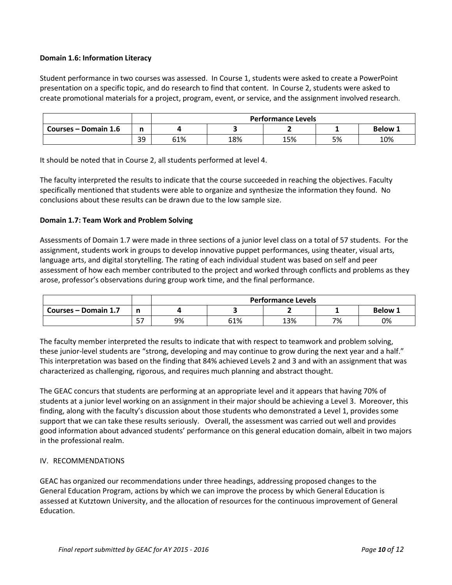### **Domain 1.6: Information Literacy**

Student performance in two courses was assessed. In Course 1, students were asked to create a PowerPoint presentation on a specific topic, and do research to find that content. In Course 2, students were asked to create promotional materials for a project, program, event, or service, and the assignment involved research.

|                      |    |     | <b>Performance Levels</b> |     |    |     |  |  |  |
|----------------------|----|-----|---------------------------|-----|----|-----|--|--|--|
| Courses – Domain 1.6 | n  |     | <b>Below 1</b>            |     |    |     |  |  |  |
|                      | 39 | 61% | 18%                       | 15% | 5% | 10% |  |  |  |

It should be noted that in Course 2, all students performed at level 4.

The faculty interpreted the results to indicate that the course succeeded in reaching the objectives. Faculty specifically mentioned that students were able to organize and synthesize the information they found. No conclusions about these results can be drawn due to the low sample size.

#### **Domain 1.7: Team Work and Problem Solving**

Assessments of Domain 1.7 were made in three sections of a junior level class on a total of 57 students. For the assignment, students work in groups to develop innovative puppet performances, using theater, visual arts, language arts, and digital storytelling. The rating of each individual student was based on self and peer assessment of how each member contributed to the project and worked through conflicts and problems as they arose, professor's observations during group work time, and the final performance.

|                      |             |    | <b>Performance Levels</b> |     |    |    |  |  |  |
|----------------------|-------------|----|---------------------------|-----|----|----|--|--|--|
| Courses – Domain 1.7 |             |    | Below:                    |     |    |    |  |  |  |
|                      | $ -$<br>ر ر | 9% | 61%                       | 13% | 7% | 0% |  |  |  |

The faculty member interpreted the results to indicate that with respect to teamwork and problem solving, these junior-level students are "strong, developing and may continue to grow during the next year and a half." This interpretation was based on the finding that 84% achieved Levels 2 and 3 and with an assignment that was characterized as challenging, rigorous, and requires much planning and abstract thought.

The GEAC concurs that students are performing at an appropriate level and it appears that having 70% of students at a junior level working on an assignment in their major should be achieving a Level 3. Moreover, this finding, along with the faculty's discussion about those students who demonstrated a Level 1, provides some support that we can take these results seriously. Overall, the assessment was carried out well and provides good information about advanced students' performance on this general education domain, albeit in two majors in the professional realm.

### IV. RECOMMENDATIONS

GEAC has organized our recommendations under three headings, addressing proposed changes to the General Education Program, actions by which we can improve the process by which General Education is assessed at Kutztown University, and the allocation of resources for the continuous improvement of General Education.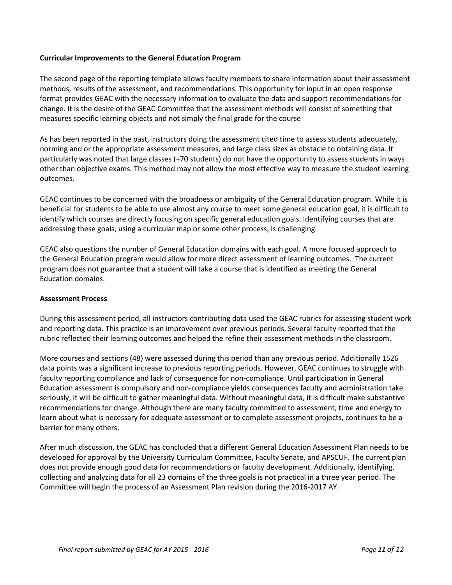#### **Curricular Improvements to the General Education Program**

The second page of the reporting template allows faculty members to share information about their assessment methods, results of the assessment, and recommendations. This opportunity for input in an open response format provides GEAC with the necessary information to evaluate the data and support recommendations for change. It is the desire of the GEAC Committee that the assessment methods will consist of something that measures specific learning objects and not simply the final grade for the course

As has been reported in the past, instructors doing the assessment cited time to assess students adequately, norming and or the appropriate assessment measures, and large class sizes as obstacle to obtaining data. It particularly was noted that large classes (+70 students) do not have the opportunity to assess students in ways other than objective exams. This method may not allow the most effective way to measure the student learning outcomes.

GEAC continues to be concerned with the broadness or ambiguity of the General Education program. While it is beneficial for students to be able to use almost any course to meet some general education goal, it is difficult to identify which courses are directly focusing on specific general education goals. Identifying courses that are addressing these goals, using a curricular map or some other process, is challenging.

GEAC also questions the number of General Education domains with each goal. A more focused approach to the General Education program would allow for more direct assessment of learning outcomes. The current program does not guarantee that a student will take a course that is identified as meeting the General Education domains.

#### **Assessment Process**

During this assessment period, all instructors contributing data used the GEAC rubrics for assessing student work and reporting data. This practice is an improvement over previous periods. Several faculty reported that the rubric reflected their learning outcomes and helped the refine their assessment methods in the classroom.

More courses and sections (48) were assessed during this period than any previous period. Additionally 1526 data points was a significant increase to previous reporting periods. However, GEAC continues to struggle with faculty reporting compliance and lack of consequence for non-compliance. Until participation in General Education assessment is compulsory and non-compliance yields consequences faculty and administration take seriously, it will be difficult to gather meaningful data. Without meaningful data, it is difficult make substantive recommendations for change. Although there are many faculty committed to assessment, time and energy to learn about what is necessary for adequate assessment or to complete assessment projects, continues to be a barrier for many others.

After much discussion, the GEAC has concluded that a different General Education Assessment Plan needs to be developed for approval by the University Curriculum Committee, Faculty Senate, and APSCUF. The current plan does not provide enough good data for recommendations or faculty development. Additionally, identifying, collecting and analyzing data for all 23 domains of the three goals is not practical in a three year period. The Committee will begin the process of an Assessment Plan revision during the 2016-2017 AY.